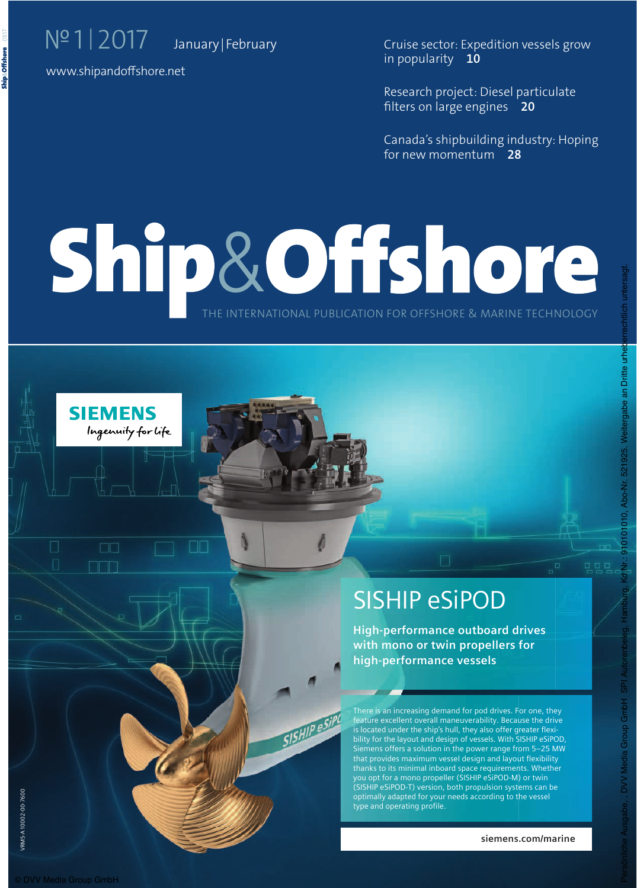Cruise sector: Expedition vessels grow in popularity **10**

Research project: Diesel particulate flters on large engines **20**

Canada's shipbuilding industry: Hoping for new momentum **28**

# THE INTERNATIONAL PUBLICATION FOR OFFSHORE & MARINE TECHNOLOGY

SISHIP esiPo



# SISHIP eSiPOD

High-performance outboard drives with mono or twin propellers for high-performance vessels

There is an increasing demand for pod drives. For one, they IFFOOD COMMISSIONS COMMISSION FOR CONSULTING COMPANY TO THE THOMAS is located under the ship's hull, they also offer greater flexibility for the layout and design of vessels. With SISHIP eSiPOD, Siemens offers a solution in the power range from 5-25 MW that provides maximum vessel design and layout flexibility thanks to its minimal inboard space requirements. Whether you opt for a mono propeller (SISHIP eSiPOD-M) or twin .<br>(SISHIP eSiPOD-T) version, both propulsion systems can be optimally adapted for your needs according to the vessel type and operating profile.